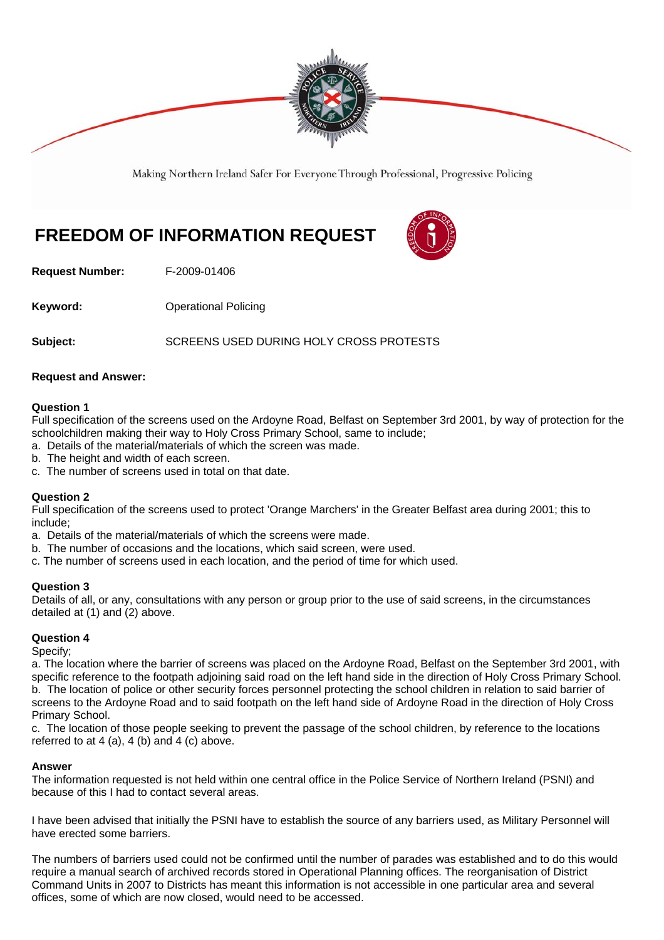

Making Northern Ireland Safer For Everyone Through Professional, Progressive Policing

# **FREEDOM OF INFORMATION REQUEST**



**Request Number:** F-2009-01406

**Keyword: Conservery Operational Policing** 

**Subject:** SCREENS USED DURING HOLY CROSS PROTESTS

## **Request and Answer:**

### **Question 1**

Full specification of the screens used on the Ardoyne Road, Belfast on September 3rd 2001, by way of protection for the schoolchildren making their way to Holy Cross Primary School, same to include;

- a. Details of the material/materials of which the screen was made.
- b. The height and width of each screen.
- c. The number of screens used in total on that date.

## **Question 2**

Full specification of the screens used to protect 'Orange Marchers' in the Greater Belfast area during 2001; this to include;

- a. Details of the material/materials of which the screens were made.
- b. The number of occasions and the locations, which said screen, were used.
- c. The number of screens used in each location, and the period of time for which used.

## **Question 3**

Details of all, or any, consultations with any person or group prior to the use of said screens, in the circumstances detailed at (1) and (2) above.

## **Question 4**

Specify;

a. The location where the barrier of screens was placed on the Ardoyne Road, Belfast on the September 3rd 2001, with specific reference to the footpath adjoining said road on the left hand side in the direction of Holy Cross Primary School. b. The location of police or other security forces personnel protecting the school children in relation to said barrier of screens to the Ardoyne Road and to said footpath on the left hand side of Ardoyne Road in the direction of Holy Cross Primary School.

c. The location of those people seeking to prevent the passage of the school children, by reference to the locations referred to at  $4$  (a),  $4$  (b) and  $4$  (c) above.

## **Answer**

The information requested is not held within one central office in the Police Service of Northern Ireland (PSNI) and because of this I had to contact several areas.

I have been advised that initially the PSNI have to establish the source of any barriers used, as Military Personnel will have erected some barriers.

The numbers of barriers used could not be confirmed until the number of parades was established and to do this would require a manual search of archived records stored in Operational Planning offices. The reorganisation of District Command Units in 2007 to Districts has meant this information is not accessible in one particular area and several offices, some of which are now closed, would need to be accessed.